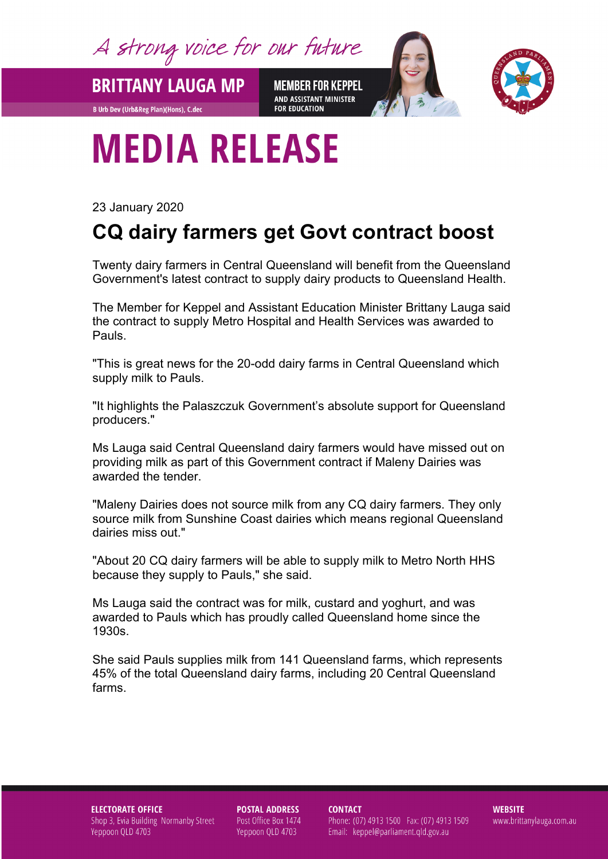A strong voice for our future

**BRITTANY LAUGA MP** 

**B Urb Dev (Urb&Reg Plan)(Hons), C.dec** 

**MEMBER FOR KEPPEL** AND ASSISTANT MINISTER **FOR EDUCATION** 



# **MEDIA RELEASE**

23 January 2020

## **CQ dairy farmers get Govt contract boost**

Twenty dairy farmers in Central Queensland will benefit from the Queensland Government's latest contract to supply dairy products to Queensland Health.

The Member for Keppel and Assistant Education Minister Brittany Lauga said the contract to supply Metro Hospital and Health Services was awarded to Pauls.

"This is great news for the 20-odd dairy farms in Central Queensland which supply milk to Pauls.

"It highlights the Palaszczuk Government's absolute support for Queensland producers."

Ms Lauga said Central Queensland dairy farmers would have missed out on providing milk as part of this Government contract if Maleny Dairies was awarded the tender.

"Maleny Dairies does not source milk from any CQ dairy farmers. They only source milk from Sunshine Coast dairies which means regional Queensland dairies miss out."

"About 20 CQ dairy farmers will be able to supply milk to Metro North HHS because they supply to Pauls," she said.

Ms Lauga said the contract was for milk, custard and yoghurt, and was awarded to Pauls which has proudly called Queensland home since the 1930s.

She said Pauls supplies milk from 141 Queensland farms, which represents 45% of the total Queensland dairy farms, including 20 Central Queensland farms.

### **ELECTORATE OFFICE** Shop 3, Evia Building Normanby Street Yeppoon QLD 4703

**POSTAL ADDRESS** Post Office Box 1474 Yeppoon QLD 4703

**CONTACT** 

Phone: (07) 4913 1500 Fax: (07) 4913 1509 Email: keppel@parliament.qld.gov.au

**WEBSITE** www.brittanylauga.com.au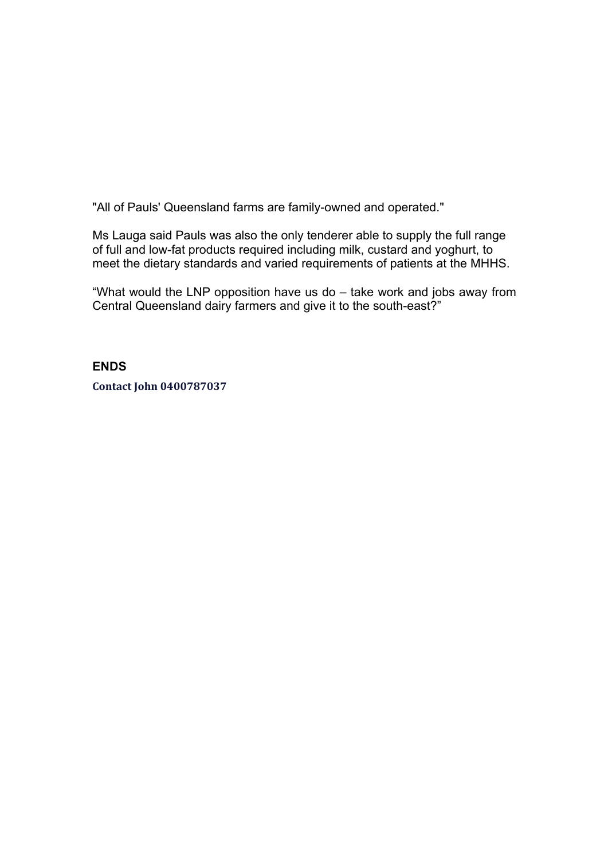"All of Pauls' Queensland farms are family-owned and operated."

Ms Lauga said Pauls was also the only tenderer able to supply the full range of full and low-fat products required including milk, custard and yoghurt, to meet the dietary standards and varied requirements of patients at the MHHS.

"What would the LNP opposition have us do – take work and jobs away from Central Queensland dairy farmers and give it to the south-east?"

## **ENDS**

**Contact John 0400787037**